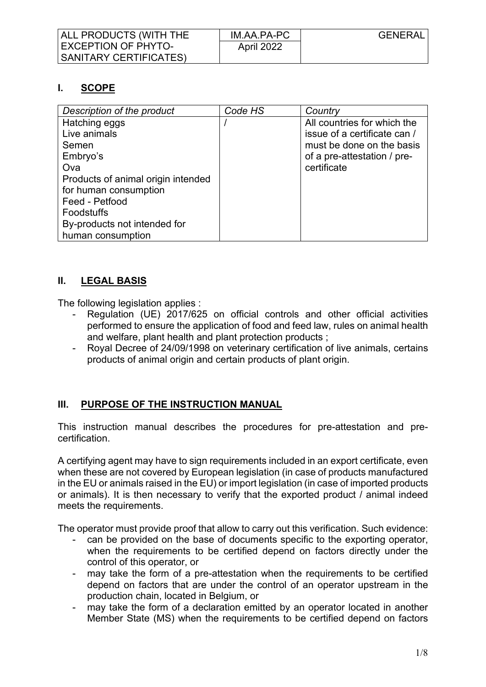| ALL PRODUCTS (WITH THE | IM.AA.PA-PC       | <b>GENERAL</b> |
|------------------------|-------------------|----------------|
| EXCEPTION OF PHYTO-    | <b>April 2022</b> |                |
| SANITARY CERTIFICATES) |                   |                |

# **I. SCOPE**

| Description of the product         | Code HS | Country                      |
|------------------------------------|---------|------------------------------|
| Hatching eggs                      |         | All countries for which the  |
| Live animals                       |         | issue of a certificate can / |
| Semen                              |         | must be done on the basis    |
| Embryo's                           |         | of a pre-attestation / pre-  |
| Ova                                |         | certificate                  |
| Products of animal origin intended |         |                              |
| for human consumption              |         |                              |
| Feed - Petfood                     |         |                              |
| <b>Foodstuffs</b>                  |         |                              |
| By-products not intended for       |         |                              |
| human consumption                  |         |                              |

### **II. LEGAL BASIS**

The following legislation applies :

- Regulation (UE) 2017/625 on official controls and other official activities performed to ensure the application of food and feed law, rules on animal health and welfare, plant health and plant protection products ;
- Royal Decree of 24/09/1998 on veterinary certification of live animals, certains products of animal origin and certain products of plant origin.

# **III. PURPOSE OF THE INSTRUCTION MANUAL**

This instruction manual describes the procedures for pre-attestation and precertification.

A certifying agent may have to sign requirements included in an export certificate, even when these are not covered by European legislation (in case of products manufactured in the EU or animals raised in the EU) or import legislation (in case of imported products or animals). It is then necessary to verify that the exported product / animal indeed meets the requirements.

The operator must provide proof that allow to carry out this verification. Such evidence:

- can be provided on the base of documents specific to the exporting operator, when the requirements to be certified depend on factors directly under the control of this operator, or
- may take the form of a pre-attestation when the requirements to be certified depend on factors that are under the control of an operator upstream in the production chain, located in Belgium, or
- may take the form of a declaration emitted by an operator located in another Member State (MS) when the requirements to be certified depend on factors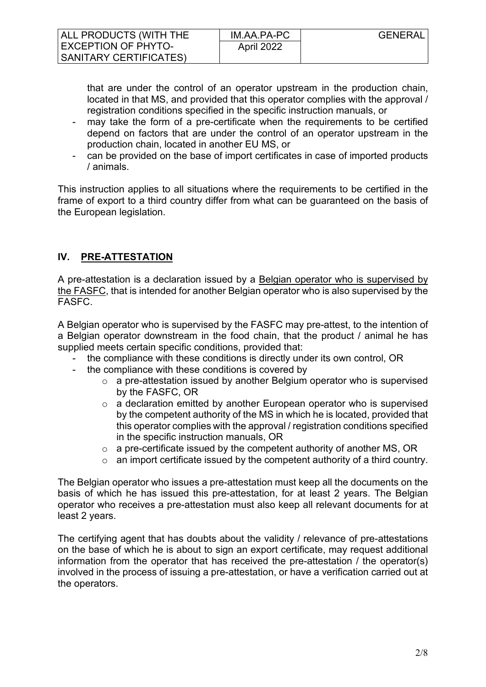| ALL PRODUCTS (WITH THE        | IM.AA.PA-PC | <b>GENERAL</b> |
|-------------------------------|-------------|----------------|
| <b>EXCEPTION OF PHYTO-</b>    | April 2022  |                |
| <b>SANITARY CERTIFICATES)</b> |             |                |

that are under the control of an operator upstream in the production chain, located in that MS, and provided that this operator complies with the approval / registration conditions specified in the specific instruction manuals, or

- may take the form of a pre-certificate when the requirements to be certified depend on factors that are under the control of an operator upstream in the production chain, located in another EU MS, or
- can be provided on the base of import certificates in case of imported products / animals.

This instruction applies to all situations where the requirements to be certified in the frame of export to a third country differ from what can be guaranteed on the basis of the European legislation.

# **IV. PRE-ATTESTATION**

A pre-attestation is a declaration issued by a Belgian operator who is supervised by the FASFC, that is intended for another Belgian operator who is also supervised by the FASFC.

A Belgian operator who is supervised by the FASFC may pre-attest, to the intention of a Belgian operator downstream in the food chain, that the product / animal he has supplied meets certain specific conditions, provided that:

- the compliance with these conditions is directly under its own control, OR
- the compliance with these conditions is covered by
	- o a pre-attestation issued by another Belgium operator who is supervised by the FASFC, OR
	- $\circ$  a declaration emitted by another European operator who is supervised by the competent authority of the MS in which he is located, provided that this operator complies with the approval / registration conditions specified in the specific instruction manuals, OR
	- $\circ$  a pre-certificate issued by the competent authority of another MS, OR
	- $\circ$  an import certificate issued by the competent authority of a third country.

The Belgian operator who issues a pre-attestation must keep all the documents on the basis of which he has issued this pre-attestation, for at least 2 years. The Belgian operator who receives a pre-attestation must also keep all relevant documents for at least 2 years.

The certifying agent that has doubts about the validity / relevance of pre-attestations on the base of which he is about to sign an export certificate, may request additional information from the operator that has received the pre-attestation / the operator(s) involved in the process of issuing a pre-attestation, or have a verification carried out at the operators.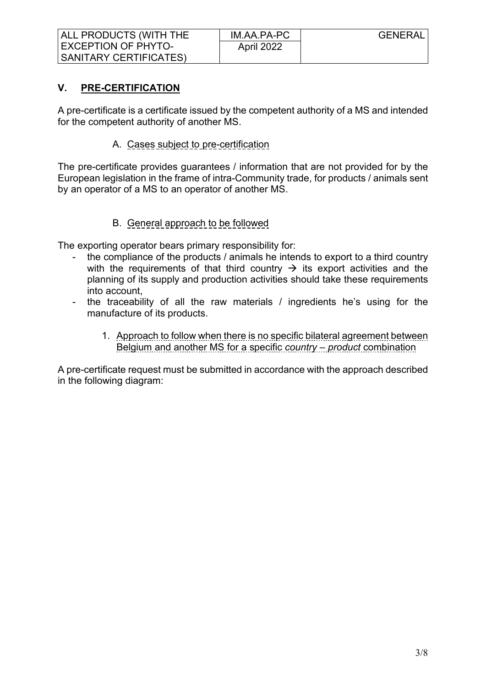### **V. PRE-CERTIFICATION**

A pre-certificate is a certificate issued by the competent authority of a MS and intended for the competent authority of another MS.

#### A. Cases subject to pre-certification

The pre-certificate provides guarantees / information that are not provided for by the European legislation in the frame of intra-Community trade, for products / animals sent by an operator of a MS to an operator of another MS.

### B. General approach to be followed

The exporting operator bears primary responsibility for:

- the compliance of the products / animals he intends to export to a third country with the requirements of that third country  $\rightarrow$  its export activities and the planning of its supply and production activities should take these requirements into account,
- the traceability of all the raw materials / ingredients he's using for the manufacture of its products.
	- 1. Approach to follow when there is no specific bilateral agreement between Belgium and another MS for a specific *country – product* combination

A pre-certificate request must be submitted in accordance with the approach described in the following diagram: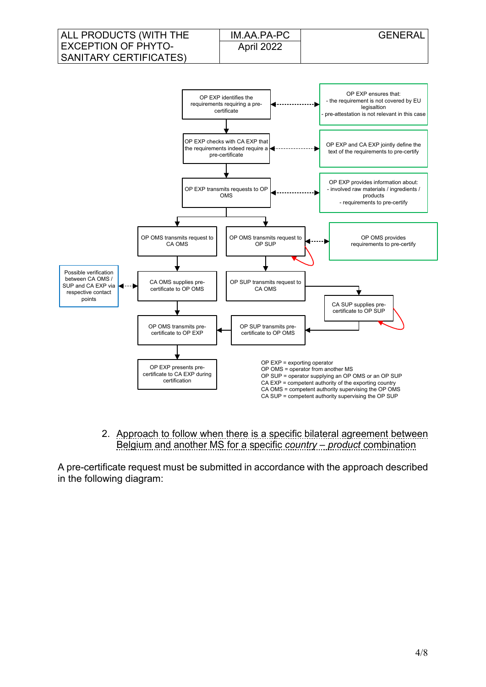

2. Approach to follow when there is a specific bilateral agreement between Belgium and another MS for a specific *country – product* combination

A pre-certificate request must be submitted in accordance with the approach described in the following diagram: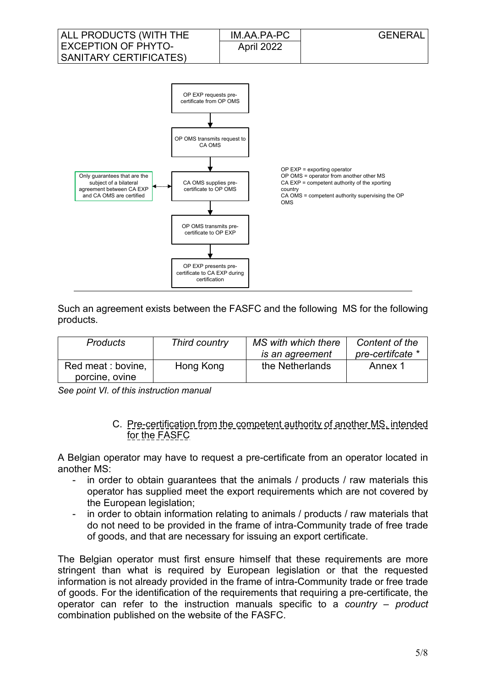

Such an agreement exists between the FASFC and the following MS for the following products.

| <b>Products</b>                      | Third country | MS with which there | Content of the   |
|--------------------------------------|---------------|---------------------|------------------|
|                                      |               | is an agreement     | pre-certifcate * |
| Red meat : bovine,<br>porcine, ovine | Hong Kong     | the Netherlands     | Annex 1          |

*See point VI. of this instruction manual*

#### C. Pre-certification from the competent authority of another MS, intended for the FASFC

A Belgian operator may have to request a pre-certificate from an operator located in another MS:

- in order to obtain guarantees that the animals / products / raw materials this operator has supplied meet the export requirements which are not covered by the European legislation;
- in order to obtain information relating to animals / products / raw materials that do not need to be provided in the frame of intra-Community trade of free trade of goods, and that are necessary for issuing an export certificate.

The Belgian operator must first ensure himself that these requirements are more stringent than what is required by European legislation or that the requested information is not already provided in the frame of intra-Community trade or free trade of goods. For the identification of the requirements that requiring a pre-certificate, the operator can refer to the instruction manuals specific to a *country – product* combination published on the website of the FASFC.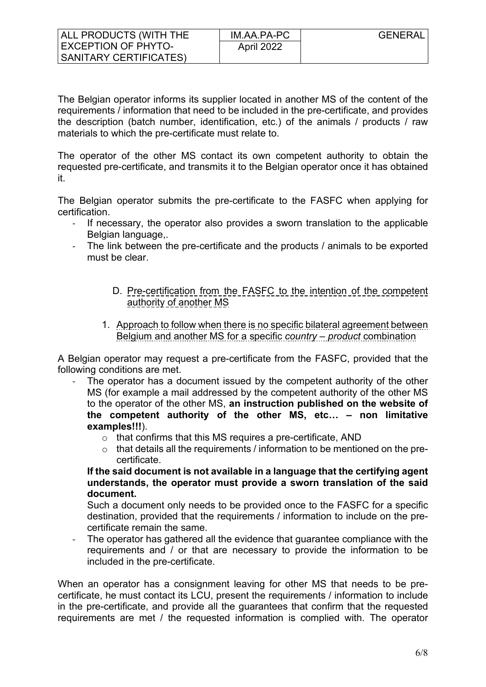The Belgian operator informs its supplier located in another MS of the content of the requirements / information that need to be included in the pre-certificate, and provides the description (batch number, identification, etc.) of the animals / products / raw materials to which the pre-certificate must relate to.

The operator of the other MS contact its own competent authority to obtain the requested pre-certificate, and transmits it to the Belgian operator once it has obtained it.

The Belgian operator submits the pre-certificate to the FASFC when applying for certification.

- If necessary, the operator also provides a sworn translation to the applicable Belgian language,.
- The link between the pre-certificate and the products / animals to be exported must be clear.
	- D. Pre-certification from the FASFC to the intention of the competent authority of another MS
	- 1. Approach to follow when there is no specific bilateral agreement between Belgium and another MS for a specific *country – product* combination

A Belgian operator may request a pre-certificate from the FASFC, provided that the following conditions are met.

- The operator has a document issued by the competent authority of the other MS (for example a mail addressed by the competent authority of the other MS to the operator of the other MS, **an instruction published on the website of the competent authority of the other MS, etc… – non limitative examples!!!**).
	- o that confirms that this MS requires a pre-certificate, AND
	- o that details all the requirements / information to be mentioned on the precertificate.

**If the said document is not available in a language that the certifying agent understands, the operator must provide a sworn translation of the said document.**

Such a document only needs to be provided once to the FASFC for a specific destination, provided that the requirements / information to include on the precertificate remain the same.

The operator has gathered all the evidence that guarantee compliance with the requirements and / or that are necessary to provide the information to be included in the pre-certificate.

When an operator has a consignment leaving for other MS that needs to be precertificate, he must contact its LCU, present the requirements / information to include in the pre-certificate, and provide all the guarantees that confirm that the requested requirements are met / the requested information is complied with. The operator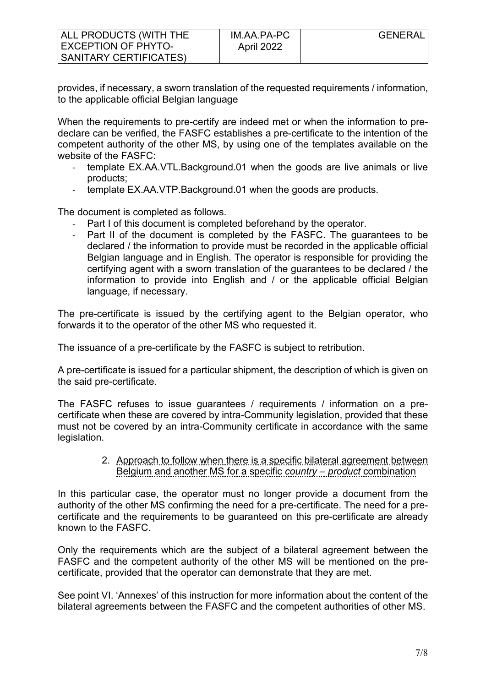| ALL PRODUCTS (WITH THE | IM.AA.PA-PC       | <b>GENERAL</b> |
|------------------------|-------------------|----------------|
| EXCEPTION OF PHYTO-    | <b>April 2022</b> |                |
| SANITARY CERTIFICATES) |                   |                |

provides, if necessary, a sworn translation of the requested requirements / information, to the applicable official Belgian language

When the requirements to pre-certify are indeed met or when the information to predeclare can be verified, the FASFC establishes a pre-certificate to the intention of the competent authority of the other MS, by using one of the templates available on the website of the FASFC:

- template EX.AA.VTL.Background.01 when the goods are live animals or live products;
- template EX.AA.VTP.Background.01 when the goods are products.

The document is completed as follows.

- Part I of this document is completed beforehand by the operator.
- Part II of the document is completed by the FASFC. The guarantees to be declared / the information to provide must be recorded in the applicable official Belgian language and in English. The operator is responsible for providing the certifying agent with a sworn translation of the guarantees to be declared / the information to provide into English and / or the applicable official Belgian language, if necessary.

The pre-certificate is issued by the certifying agent to the Belgian operator, who forwards it to the operator of the other MS who requested it.

The issuance of a pre-certificate by the FASFC is subject to retribution.

A pre-certificate is issued for a particular shipment, the description of which is given on the said pre-certificate.

The FASFC refuses to issue guarantees / requirements / information on a precertificate when these are covered by intra-Community legislation, provided that these must not be covered by an intra-Community certificate in accordance with the same legislation.

> 2. Approach to follow when there is a specific bilateral agreement between Belgium and another MS for a specific *country – product* combination

In this particular case, the operator must no longer provide a document from the authority of the other MS confirming the need for a pre-certificate. The need for a precertificate and the requirements to be guaranteed on this pre-certificate are already known to the FASFC.

Only the requirements which are the subject of a bilateral agreement between the FASFC and the competent authority of the other MS will be mentioned on the precertificate, provided that the operator can demonstrate that they are met.

See point VI. 'Annexes' of this instruction for more information about the content of the bilateral agreements between the FASFC and the competent authorities of other MS.